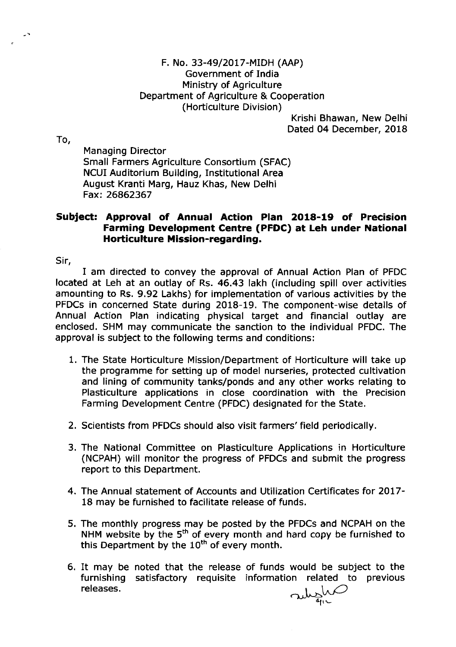Krishi Bhawan, New Delhi Dated 04 December, 2018

To,

Managing Director Small Farmers Agriculture Consortium (SFAC) NCUI Auditorium Building, Institutional Area August Kranti Marg, Hauz Khas, New Delhi Fax:26862367

## Subject: Approval of Annual Action Plan 2018-19 of Precision Farming Development Centre (PFDC) at Leh under National Horticulture Mission-regarding.

Sir,

I am directed to convey the approval of Annual Action Plan of PFDC located at Leh at an outlay of Rs. 46.43 lakh (including spill over activities amounting to Rs. 9.92 Lakhs) for implementation of various activities by the PFDCs in concerned State during 2018-19. The component-wise details of Annual Action Plan indicating physical target and financial outlay are enclosed. SHM may communicate the sanction to the individual PFDC. The approval is subject to the following terms and conditions:

- 1, The State Horticulture Mission/Department of Horticulture will take up the programme for setting up of model nurseries, protected cultivation and lining of community tanks/ponds and any other works relating to Plasticulture applications in close coordination with the Precision Farming Development Centre (PFDC) designated for the State,
- 2. Scientists from PFDCs should also visit farmers'field periodically.
- 3. The National Committee on Plasticulture Applications in Horticulture (NCPAH) will monitor the progress of PFDCs and submit the progress report to this Department.
- 4. The Annual statement of Accounts and Utilization Certificates for 2Ol7- 18 may be furnished to facilitate release of funds.
- 5. The monthly progress may be posted by the PFDCs and NCPAH on the NHM website by the  $5<sup>th</sup>$  of every month and hard copy be furnished to this Department by the  $10<sup>th</sup>$  of every month.
- 5. It may be noted that the release of funds would be subject to the furnishing satisfactory requisite information related to previous religion releases.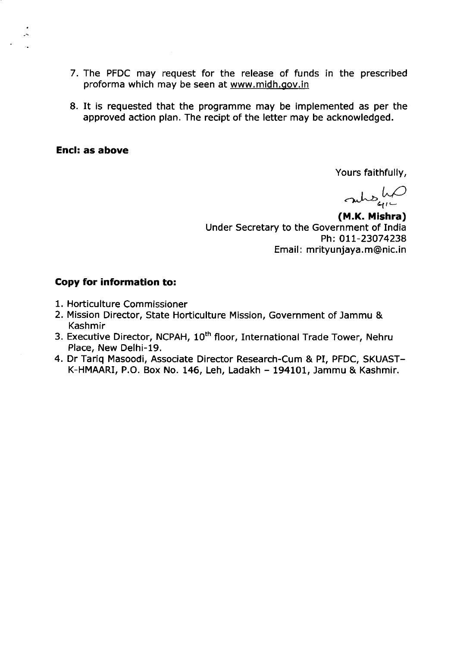- 7. The PFDC may request for the release of funds in the prescribed proforma which may be seen at www.midh.gov.in
- 8. It is requested that the programme may be implemented as per the approved action plan. The recipt of the letter may be acknowledged.

Yours faithfully,

rung hp

(M.K. Mishra) Under Secretary to the Government of India Ph: 011-23074238 Email: mrityunjaya.m@nic.in

- 1. Horticulture Commissioner
- 2. Mission Director, State Horticulture Mission, Government of Jammu & Kashmir
- 3. Executive Director, NCPAH, 10<sup>th</sup> floor, International Trade Tower, Nehru Place, New Delhi-19.
- 4. Dr Tariq Masoodi, Associate Director Research-Cum & PI, PFDC, SKUAST-K-HMAARI, P.O. Box No. 146, Leh, Ladakh - 194101, Jammu & Kashmir.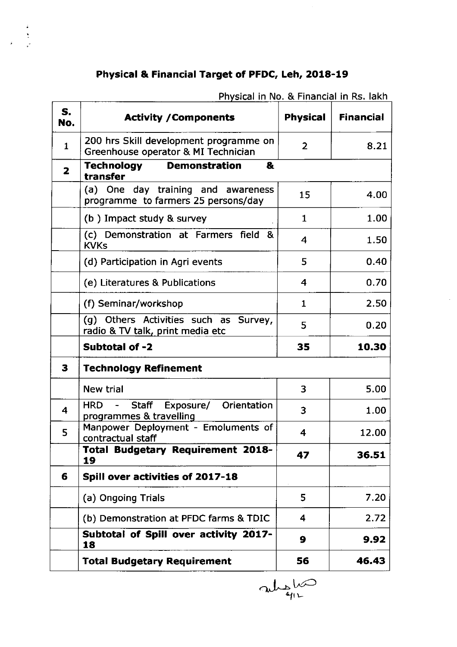# Physical & Financial Target of PFDC, Leh, 2O18-19

 $\ddot{i}$ 

|                         | riiysical III NO. & Financial III NS. Ianii                                   |                 |                  |
|-------------------------|-------------------------------------------------------------------------------|-----------------|------------------|
| S.<br>No.               | <b>Activity / Components</b>                                                  | <b>Physical</b> | <b>Financial</b> |
| $\mathbf{1}$            | 200 hrs Skill development programme on<br>Greenhouse operator & MI Technician | $\overline{2}$  | 8.21             |
| $\overline{\mathbf{2}}$ | <b>Technology</b><br><b>Demonstration</b><br>&<br>transfer                    |                 |                  |
|                         | (a) One day training and awareness<br>programme to farmers 25 persons/day     | 15              | 4.00             |
|                         | (b) Impact study & survey                                                     | $\mathbf{1}$    | 1.00             |
|                         | (c) Demonstration at Farmers field<br>୍ଷ &<br><b>KVKs</b>                     | 4               | 1.50             |
|                         | (d) Participation in Agri events                                              | 5               | 0.40             |
|                         | (e) Literatures & Publications                                                | 4               | 0.70             |
|                         | (f) Seminar/workshop                                                          | $\mathbf{1}$    | 2.50             |
|                         | Others Activities such as Survey,<br>(q)<br>radio & TV talk, print media etc  | 5               | 0.20             |
|                         | Subtotal of -2                                                                | 35              | 10.30            |
| 3                       | <b>Technology Refinement</b>                                                  |                 |                  |
|                         | <b>New trial</b>                                                              | 3               | 5.00             |
| $\overline{\mathbf{4}}$ | Orientation<br><b>HRD</b><br>Staff<br>Exposure/<br>programmes & travelling    | 3               | 1.00             |
| 5                       | Manpower Deployment - Emoluments of<br>contractual staff                      | 4               | 12.00            |
|                         | <b>Total Budgetary Requirement 2018-</b><br>19                                | 47              | 36.51            |
| 6                       | Spill over activities of 2017-18                                              |                 |                  |
|                         | (a) Ongoing Trials                                                            | 5               | 7.20             |
|                         | (b) Demonstration at PFDC farms & TDIC                                        | 4               | 2.72             |
|                         | Subtotal of Spill over activity 2017-<br>18                                   | 9               | 9.92             |
|                         | <b>Total Budgetary Requirement</b>                                            | 56              | 46.43            |

Physical in No. & Financial in Rs. lakh

allo 91 1-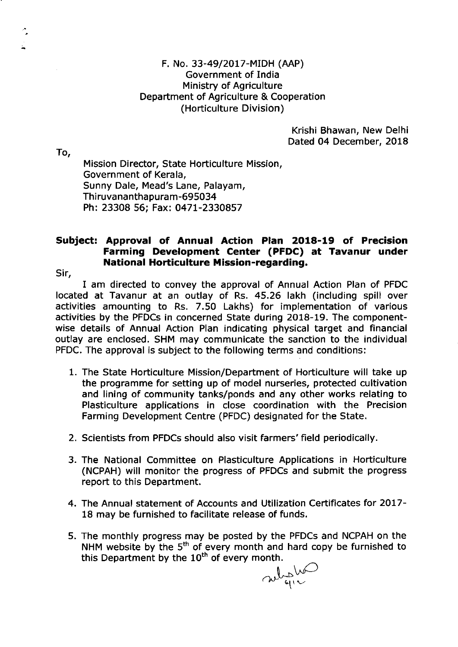Krishi Bhawan, New Delhi Dated 04 December, 2018

To,

۸.

Mission Director, State Horticulture Mission, Government of Kerala, Sunny Dale, Mead's Lane, Palayam, Thiruvananthapuram-695034 Ph: 23308 56; Fax: O47L-2330857

## Subject: Approval of Annual Action Plan 2018-19 of Precision Farming Development Center (PFDC) at Tavanur under National Horticulture Mission-regarding.

Sir,

I am directed to convey the approval of Annual Action Plan of PFDC located at Tavanur at an outlay of Rs. 45.26 lakh (including spill over activities amounting to Rs. 7.50 Lakhs) for implementation of various activities by the PFDCs in concerned State during 2018-19. The componentwise details of Annual Action Plan indicating physical target and financial outlay are enclosed. SHM may communicate the sanction to the individual PFDC. The approval is subject to the following terms and conditions:

- 1. The State Horticulture Mission/Department of Horticulture will take up the programme for setting up of model nurseries, protected cultivation and lining of community tanks/ponds and any other works relating to Plasticulture applications in close coordination with the Precision Farming Development Centre (PFDC) designated for the State.
- 2. Scientists from PFDCs should also visit farmers'field periodically.
- 3. The National Committee on Plasticulture Applications in Horticulture (NCPAH) will monitor the progress of PFDCs and submit the progress report to this Department.
- 4. The Annual statement of Accounts and Utilization Certificates for 2OL7- 18 may be furnished to facilitate release of funds.
- 5. The monthly progress may be posted by the PFDCs and NCPAH on the NHM website by the  $5^{\text{th}}$  of every month and hard copy be furnished to this Department by the 10<sup>th</sup> of every month.

substitu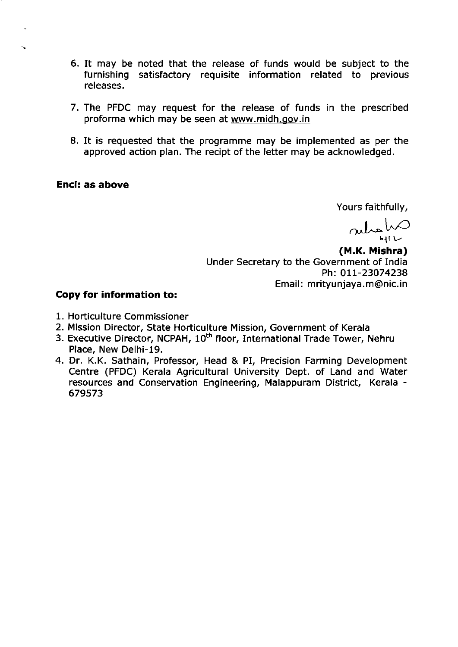- 6. It may be noted that the release of funds would be subject to the furnishing satisfactory requisite information related to previous releases.
- 7. The PFDC may request for the release of funds in the prescribed proforma which may be seen at www.midh.gov.in
- 8. It is requested that the programme may be implemented as per the approved action plan. The recipt of the letter may be acknowledged.

Yours faithfully,

 $\lambda$ 

(M.K. Mishra) Under Secretary to the Government of India Ph: 011-23074238 Email: mrityunjaya.m@nic.in

- 1. Horticulture Commissioner
- 2. Mission Director, State Horticulture Mission, Government of Kerala
- 3. Executive Director, NCPAH, 10<sup>th</sup> floor, International Trade Tower, Nehru Place, New Delhi-19.
- 4. Dr. K.K. Sathain, Professor, Head & PI, Precision Farming Development Centre (PFDC) Kerala Agricultural University Dept. of Land and Water resources and Conservation Engineering, Malappuram District, Kerala -679573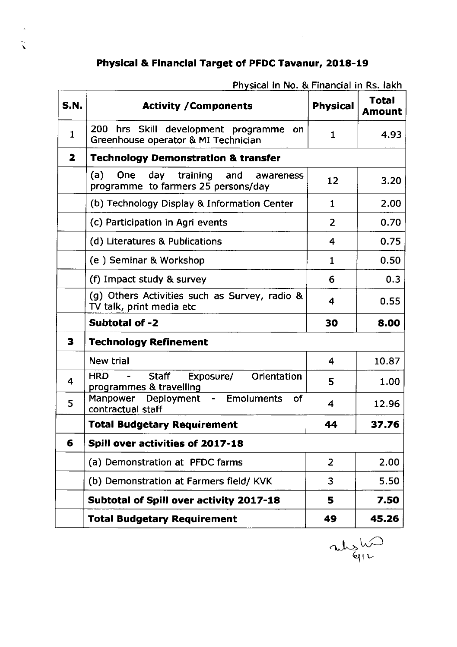# Physical & Financia! Target of PFDC Tavanur, 2018-19

| <b>S.N.</b>             | <b>Activity / Components</b>                                                               | <b>Physical</b>  | <b>Total</b><br><b>Amount</b> |
|-------------------------|--------------------------------------------------------------------------------------------|------------------|-------------------------------|
| $\mathbf{1}$            | 200<br>hrs Skill development programme<br><b>on</b><br>Greenhouse operator & MI Technician | 1                | 4.93                          |
| $\overline{\mathbf{z}}$ | <b>Technology Demonstration &amp; transfer</b>                                             |                  |                               |
|                         | training<br>(a)<br>One<br>day<br>and<br>awareness<br>programme to farmers 25 persons/day   | 12               | 3.20                          |
|                         | (b) Technology Display & Information Center                                                | 1                | 2.00                          |
|                         | (c) Participation in Agri events                                                           | $\overline{2}$   | 0.70                          |
|                         | (d) Literatures & Publications                                                             | 4                | 0.75                          |
|                         | (e) Seminar & Workshop                                                                     | $\mathbf{1}$     | 0.50                          |
|                         | (f) Impact study & survey                                                                  | 6                | 0.3                           |
|                         | (g) Others Activities such as Survey, radio &<br>TV talk, print media etc                  | 4                | 0.55                          |
|                         | <b>Subtotal of -2</b>                                                                      | 30               | 8.00                          |
| 3                       | <b>Technology Refinement</b>                                                               |                  |                               |
|                         | New trial                                                                                  | $\boldsymbol{4}$ | 10.87                         |
| 4                       | <b>HRD</b><br><b>Staff</b><br>Exposure/<br>Orientation<br>programmes & travelling          | 5                | 1.00                          |
| 5                       | - Emoluments<br>Manpower Deployment<br>οf<br>contractual staff                             | 4                | 12.96                         |
|                         | <b>Total Budgetary Requirement</b>                                                         | 44               | 37.76                         |
| 6                       | Spill over activities of 2017-18                                                           |                  |                               |
|                         | (a) Demonstration at PFDC farms                                                            | $\overline{2}$   | 2.00                          |
|                         | (b) Demonstration at Farmers field/KVK                                                     | 3                | 5.50                          |
|                         | Subtotal of Spill over activity 2017-18                                                    | 5                | 7.50                          |
|                         | <b>Total Budgetary Requirement</b>                                                         | 49               | 45.26                         |

Physical in No. & Financial in Rs. lakh

جىلە قرا ب<br>1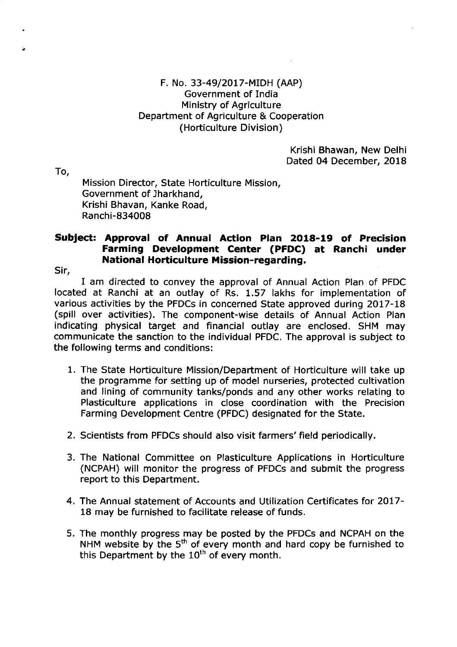Krishi Bhawan, New Delhi Dated 04 December, 2018

To,

Mission Director, State Horticulture Mission, Government of Jharkhand, Krishi Bhavan, Kanke Road, Ranchi-834008

## Subject: Approva! of Annual Action Plan 2O18-19 of Precision Farming Development Center (PFDC) at Ranchi under National Horticulture Mission-regarding.

Sir,

I am directed to convey the approval of Annual Action Plan of PFDC located at Ranchi at an outlay of Rs, 1.57 lakhs for implementation of various activities by the PFDCs in concerned State approved during 2017-18 (spill over activities). The component-wise details of Annual Action Plan indicating physical target and financial outlay are enclosed. SHM may communicate the sanction to the individual PFDC. The approval is subject to the following terms and conditions:

- 1. The State Horticulture Mission/Department of Horticulture will take up the programme for setting up of model nurseries, protected cultivation and lining of community tanks/ponds and any other works relating to Plasticulture applications in close coordination with the Precision Farming Development Centre (PFDC) designated for the State.
- 2. Scientists from PFDCs should also visit farmers'field periodically.
- 3. The National Committee on Plasticulture Applications in Horticulture (NCPAH) will monitor the progress of PFDCs and submit the progress report to this Department.
- 4. The Annual statement of Accounts and Utilization Certificates for 2OL7- 18 may be furnished to facilitate release of funds.
- 5, The monthly progress may be posted by the PFDCs and NCPAH on the NHM website by the 5th of every month and hard copy be furnished to this Department by the  $10<sup>th</sup>$  of every month.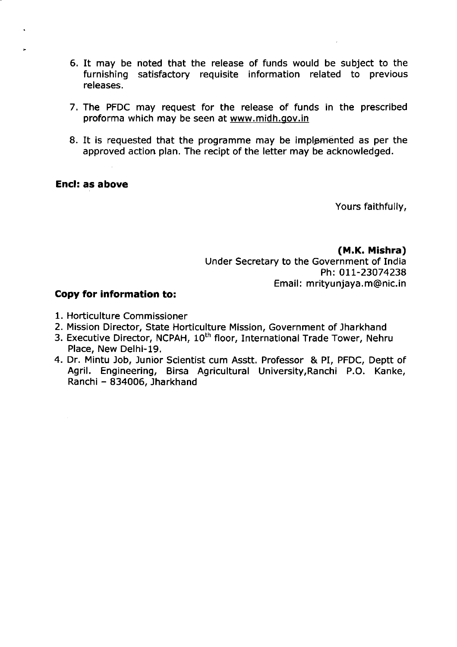- 6, It may be noted that the release of funds would be subject to the furnishing satisfactory requisite information related to previous releases.
- 7. The PFDC may request for the release of funds in the prescribed proforma which may be seen at www.midh.gov.in
- 8. It is requested that the programme may be implemented as per the approved action plan. The recipt of the letter may be acknowledged.

Yours faithfully,

(M.K. Mishra) Under Secretary to the Government of India Ph: 011-23074238 Email: mrityunjaya.m@nic.in

- 1. Horticulture Commissioner
- 2. Mission Director, State Horticulture Mission, Government of Jharkhand
- 3. Executive Director, NCPAH, 10<sup>th</sup> floor, International Trade Tower, Nehru Place, New Delhi-19.
- 4. Dr. Mintu Job, Junior Scientist cum Asstt. Professor & PI, PFDC, Deptt of Agril. Engineering, Birsa Agricultural University,Ranchi P.O. Kanke, Ranchi - 834005, Jharkhand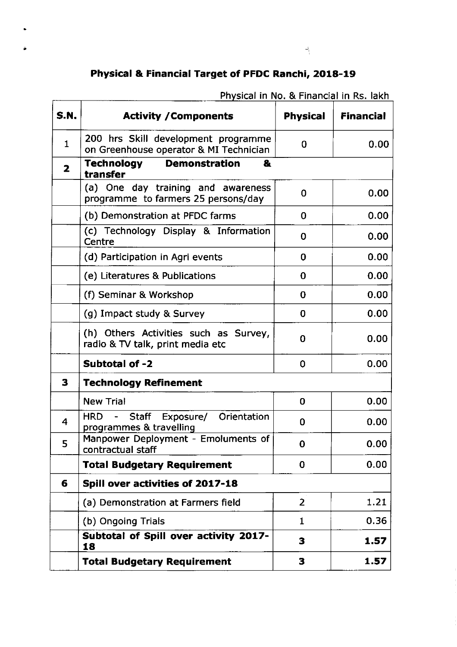# Physica! & Financial Target of PFDC Ranchi, 2018-19

| <b>S.N.</b>  | <b>Activity / Components</b>                                                  | <b>Physical</b> | <b>Financial</b> |
|--------------|-------------------------------------------------------------------------------|-----------------|------------------|
| $\mathbf{1}$ | 200 hrs Skill development programme<br>on Greenhouse operator & MI Technician | 0               | 0.00             |
| 2            | <b>Demonstration</b><br>Technology<br>&<br>transfer                           |                 |                  |
|              | (a) One day training and awareness<br>programme to farmers 25 persons/day     | 0               | 0.00             |
|              | (b) Demonstration at PFDC farms                                               | 0               | 0.00             |
|              | (c) Technology Display & Information<br>Centre                                | 0               | 0.00             |
|              | (d) Participation in Agri events                                              | 0               | 0.00             |
|              | (e) Literatures & Publications                                                | $\bf{0}$        | 0.00             |
|              | (f) Seminar & Workshop                                                        | $\bf{0}$        | 0.00             |
|              | (g) Impact study & Survey                                                     | $\mathbf 0$     | 0.00             |
|              | (h) Others Activities such as Survey,<br>radio & TV talk, print media etc     | $\bf{0}$        | 0.00             |
|              | Subtotal of -2                                                                | 0               | 0.00             |
| 3            | <b>Technology Refinement</b>                                                  |                 |                  |
|              | <b>New Trial</b>                                                              | $\Omega$        | 0.00             |
| 4            | - Staff Exposure/ Orientation<br><b>HRD</b><br>programmes & travelling        | $\Omega$        | 0.00             |
| 5            | Manpower Deployment - Emoluments of<br>contractual staff                      | 0               | 0.00             |
|              | <b>Total Budgetary Requirement</b>                                            | 0               | 0.00             |
| 6            | Spill over activities of 2017-18                                              |                 |                  |
|              | (a) Demonstration at Farmers field                                            | $\overline{2}$  | 1.21             |
|              | (b) Ongoing Trials                                                            | 1               | 0.36             |
|              | Subtotal of Spill over activity 2017-<br>18                                   | 3               | 1.57             |
|              | <b>Total Budgetary Requirement</b>                                            | 3               | 1.57             |

Physical in No. & Financial in Rs. lakh

 $\omega_{\rm V}^{\rm I}$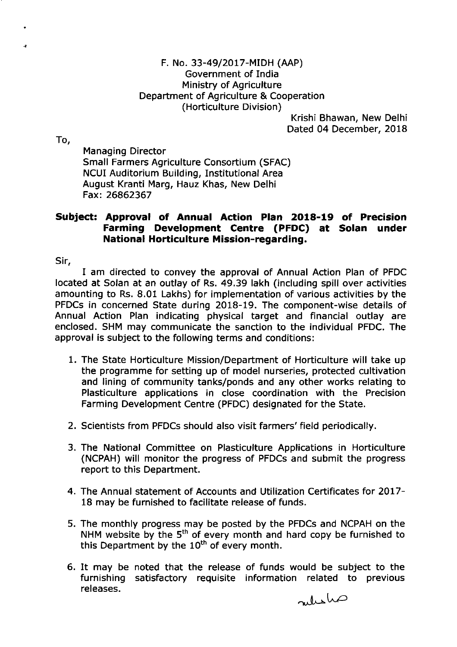Krishi Bhawan, New Delhi Dated 04 December, 2018

To,

Managing Director Small Farmers Agriculture Consortium (SFAC) NCUI Auditorium Building, Institutional Area August Kranti Marg, Hauz Khas, New Delhi Fax:26862367

# Subject: Approval of Annual Action Plan 2018-19 of Precision Farming Development Centre (PFDC) at Solan under National Horticulture Mission-regarding.

Sir,

I am directed to convey the approval of Annual Action Plan of PFDC located at Solan at an outlay of Rs. 49,39 lakh (including spill over activities amounting to Rs. 8.01 Lakhs) for implementation of various activities by the PFDCs in concerned State during 2018-19. The component-wise details of Annual Action Plan indicating physical target and financial outlay are enclosed. SHM may communicate the sanction to the individual PFDC. The approval is subject to the following terms and conditions:

- 1. The State Horticulture Mission/Depaftment of Horticulture will take up the programme for setting up of model nurseries, protected cultivation and lining of community tanks/ponds and any other works relating to Plasticulture applications in close coordination with the Precision Farming Development Centre (PFDC) designated for the State.
- 2. Scientists from PFDCs should also visit farmers'field periodically.
- 3. The National Committee on Plasticulture Applications in Horticulture (NCPAH) will monitor the progress of PFDCs and submit the progress report to this Department.
- 4. The Annual statement of Accounts and Utilization Certificates for 2OL7- 18 may be furnished to facilitate release of funds.
- 5. The monthly progress may be posted by the PFDCs and NCPAH on the NHM website by the 5<sup>th</sup> of every month and hard copy be furnished to this Department by the  $10^{th}$  of every month.
- 6. It may be noted that the release of funds would be subject to the furnishing satisfactory requisite information related to previous releases.

 $\omega$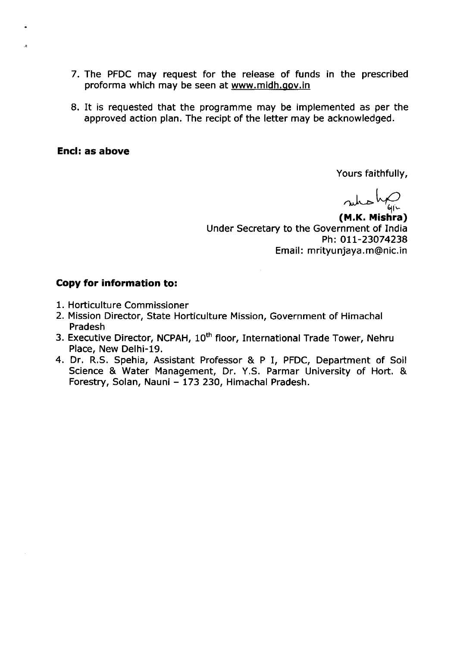- 7. The PFDC may request for the release of funds in the prescribed proforma which may be seen at www.midh.gov.in
- 8. It is requested that the programme may be implemented as per the approved action plan. The recipt of the letter may be acknowledged.

 $\ddot{\cdot}$ 

Yours faithfully,

who ha

(M.K. Mis hra) Under Secretary to the Government of India Ph: OIL-23074238 Email: mrityunjaya.m@nic.in

- 1. Horticulture Commissioner
- 2. Mission Director, State Horticulture Mission, Government of Himachal Pradesh
- 3. Executive Director, NCPAH, 10<sup>th</sup> floor, International Trade Tower, Nehru Place, New Delhi-19.
- 4. Dr, R,S. Spehia, Assistant Professor & P I, PFDC, Depaftment of Soil Science & Water Management, Dr, Y,S. Parmar University of Hort. & Forestry, Solan, Nauni - 173 230, Himachal Pradesh.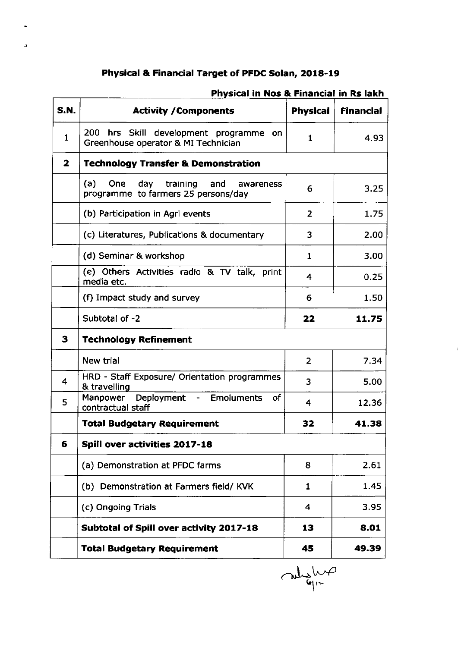# Physical & Financial Target of PFDC Solan, 2018-19

 $\mathbf{r}$ 

| <b>S.N.</b>  | <b>Activity / Components</b>                                                                 | <b>Physical</b> | <b>Financial</b> |
|--------------|----------------------------------------------------------------------------------------------|-----------------|------------------|
| $\mathbf{1}$ | 200 hrs Skill development programme<br>on.<br>Greenhouse operator & MI Technician            | $\mathbf{1}$    | 4.93             |
| $\mathbf{z}$ | <b>Technology Transfer &amp; Demonstration</b>                                               |                 |                  |
|              | (a)<br><b>One</b><br>day training<br>and<br>awareness<br>programme to farmers 25 persons/day | 6               | 3.25             |
|              | (b) Participation in Agri events                                                             | $\overline{2}$  | 1.75             |
|              | (c) Literatures, Publications & documentary                                                  | 3               | 2.00             |
|              | (d) Seminar & workshop                                                                       | $\mathbf{1}$    | 3.00             |
|              | (e) Others Activities radio & TV talk, print<br>media etc.                                   | 4               | 0.25             |
|              | (f) Impact study and survey                                                                  | 6               | 1.50             |
|              | Subtotal of -2                                                                               | 22              | 11.75            |
| 3            | <b>Technology Refinement</b>                                                                 |                 |                  |
|              | <b>New trial</b>                                                                             | $\overline{2}$  | 7.34             |
| 4            | HRD - Staff Exposure/ Orientation programmes<br>& travelling                                 | 3               | 5.00             |
| 5            | Manpower Deployment - Emoluments<br><b>of</b><br>contractual staff                           | 4               | 12.36            |
|              | <b>Total Budgetary Requirement</b>                                                           | 32              | 41.38            |
| 6            | Spill over activities 2017-18                                                                |                 |                  |
|              | (a) Demonstration at PFDC farms                                                              | 8               | 2.61             |
|              | (b) Demonstration at Farmers field/KVK                                                       | 1               | 1.45             |
|              | (c) Ongoing Trials                                                                           | 4               | 3.95             |
|              | Subtotal of Spill over activity 2017-18                                                      | 13              | 8.01             |
|              | <b>Total Budgetary Requirement</b>                                                           | 45              | 49.39            |

## Physical in Nos & Financial in Rs lakh

when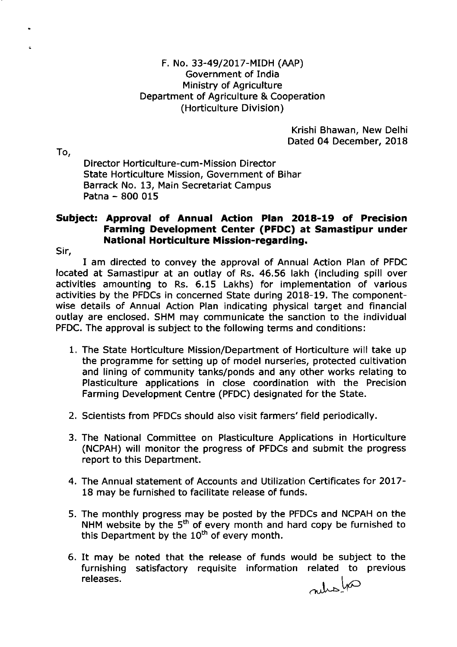Krishi Bhawan, New Delhi Dated 04 December, 2018

To,

Director Horticulture-cum-Mission Director State Horticulture Mission, Government of Bihar Barrack No. 13, Main Secretariat Campus Patna - 800 <sup>015</sup>

# Subject: Approval of Annual Action Plan 2018-19 of Precision Farming Development Center (PFDC) at Samastipur under National Horticulture Mission-regarding.

Sir,

I am directed to convey the approval of Annual Action Plan of PFDC located at Samastipur at an outlay of Rs. 46,56 lakh (including spill over activities amounting to Rs. 6.15 Lakhs) for implementation of various activities by the PFDCs in concerned State during 2018-19, The componentwise details of Annual Action Plan indicating physical target and financial outlay are enclosed. SHM may communicate the sanction to the individual PFDC. The approval is subject to the following terms and conditions:

- 1. The State Horticulture Mission/Department of Horticulture will take up the programme for setting up of model nurseries, protected cultivation and lining of community tanks/ponds and any other works relating to Plasticulture applications in close coordination with the Precision Farming Development Centre (PFDC) designated for the State.
- 2, Scientists from PFDCs should also visit farmers'field periodically.
- 3. The National Committee on Plasticulture Applications in Horticulture (NCPAH) will monitor the progress of PFDCs and submit the progress report to this Department.
- 4. The Annual statement of Accounts and Utilization Certificates for 2017-18 may be furnished to facilitate release of funds.
- 5. The monthly progress may be posted by the PFDCs and NCPAH on the NHM website by the  $5<sup>th</sup>$  of every month and hard copy be furnished to this Department by the  $10<sup>th</sup>$  of every month.
- 6. It may be noted that the release of funds would be subject to the furnishing satisfactory requisite information related to previous releases.  $\int_{0}^{1}$   $\int_{0}^{\infty}$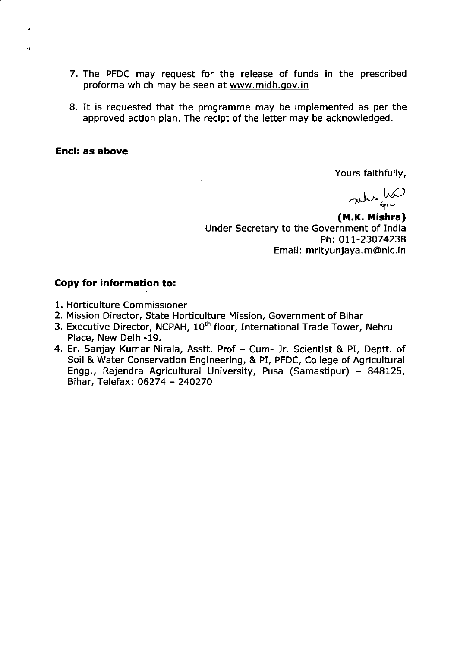- 7. The PFDC may request for the release of funds in the prescribed proforma which may be seen at www.midh.gov.in
- 8. It is requested that the programme may be implemented as per the approved action plan. The recipt of the letter may be acknowledged.

ů.

Yours faithfully,

 $m_{\phi}$ 

(M.K. Mishra) Under Secretary to the Government of India Ph: 011-23074238 Email: mrityunjaya.m@nic.in

- 1. Horticulture Commissioner
- 2. Mission Director, State Horticulture Mission, Government of Bihar
- 3. Executive Director, NCPAH, 10<sup>th</sup> floor, International Trade Tower, Nehru Place, New Delhi-19,
- 4. Er. Sanjay Kumar Nirala, Asstt. Prof Cum- Jr. Scientist & PI, Deptt. of Soil & Water Conservation Engineering, & PI, PFDC, College of Agricultural Engg., Rajendra Agricultural University, Pusa (Samastipur) - 848125, Bihar, Telefax:06274 - 24O27O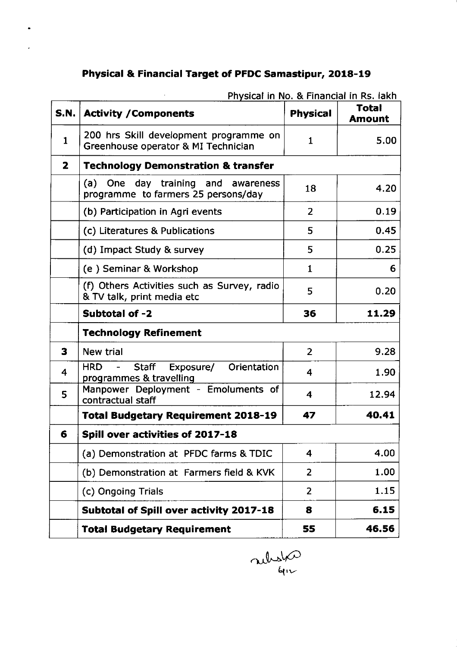# Physica! & Financia! Target of PFDC Samastipur, 2018-19

 $\bar{\mathcal{A}}$ 

 $\bullet$ 

 $\hat{\boldsymbol{\epsilon}}$ 

| <b>S.N.</b>  | <b>Activity / Components</b>                                                  | <b>Physical</b>         | <b>Total</b><br><b>Amount</b> |
|--------------|-------------------------------------------------------------------------------|-------------------------|-------------------------------|
| $\mathbf{1}$ | 200 hrs Skill development programme on<br>Greenhouse operator & MI Technician | $\mathbf{1}$            | 5.00                          |
| $\mathbf{z}$ | <b>Technology Demonstration &amp; transfer</b>                                |                         |                               |
|              | (a) One day training and awareness<br>programme to farmers 25 persons/day     | 18                      | 4.20                          |
|              | (b) Participation in Agri events                                              | $\overline{2}$          | 0.19                          |
|              | (c) Literatures & Publications                                                | 5                       | 0.45                          |
|              | (d) Impact Study & survey                                                     | 5                       | 0.25                          |
|              | (e) Seminar & Workshop                                                        | $\mathbf{1}$            | 6                             |
|              | (f) Others Activities such as Survey, radio<br>& TV talk, print media etc     | 5                       | 0.20                          |
|              | Subtotal of -2                                                                | 36                      | 11.29                         |
|              | <b>Technology Refinement</b>                                                  |                         |                               |
| 3            | New trial                                                                     | $\overline{2}$          | 9.28                          |
| 4            | Orientation<br><b>HRD</b><br>Staff Exposure/<br>programmes & travelling       | $\overline{\mathbf{4}}$ | 1.90                          |
| 5            | Manpower Deployment - Emoluments of<br>contractual staff                      | 4                       | 12.94                         |
|              | <b>Total Budgetary Requirement 2018-19</b>                                    | 47                      | 40.41                         |
| 6            | <b>Spill over activities of 2017-18</b>                                       |                         |                               |
|              | (a) Demonstration at PFDC farms & TDIC                                        | 4                       | 4.00                          |
|              | (b) Demonstration at Farmers field & KVK                                      | $\overline{2}$          | 1.00                          |
|              | (c) Ongoing Trials                                                            | $\overline{2}$          | 1.15                          |
|              | Subtotal of Spill over activity 2017-18                                       | 8                       | 6.15                          |
|              | <b>Total Budgetary Requirement</b>                                            | 55                      | 46.56                         |

Physical in No. & Financial in Rs. lakh

 $\lambda$ ulust $\varphi$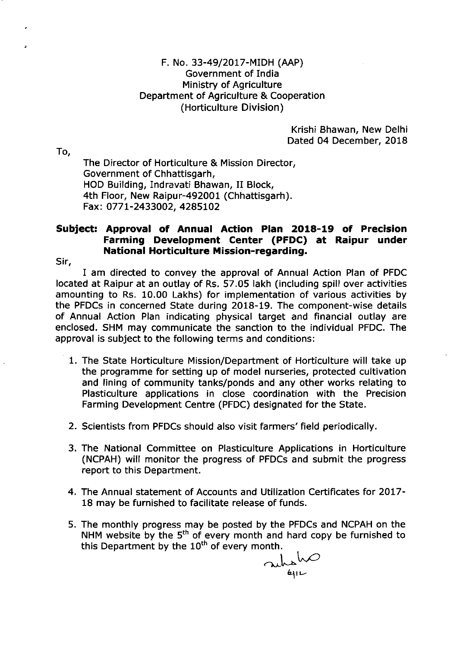Krishi Bhawan, New Delhi Dated 04 December, 2018

To,

The Director of Horticulture & Mission Director, Government of Chhattisgarh, HOD Building, Indravati Bhawan, II Block, 4th Floor, New Raipur-492001 (Chhattisgarh). Fax: O77 l-2433002, 4285L02

## Subject: Approval of Annual Action Plan 2018-19 of Precision Farming Development Center (PFDC) at Raipur under National Horticulture Mission-regarding.

Sir,

I am directed to convey the approval of Annual Action Plan of PFDC located at Raipur at an outlay of Rs, 57.05 lakh (including spill over activities amounting to Rs. 10.00 Lakhs) for implementation of various activities by the PFDCs in concerned State during 2018-19, The component-wise details of Annual Action Plan indicating physical target and financial outlay are enclosed. SHM may communicate the sanction to the individual PFDC. The approval is subject to the following terms and conditions:

- 1. The State Horticulture Mission/Department of Horticulture will take up the programme for setting up of model nurseries, protected cultivation and lining of community tanks/ponds and any other works relating to Plasticulture applications in close coordination with the Precision Farming Development Centre (PFDC) designated for the State.
- 2. Scientists from PFDCs should also visit farmers'field periodically.
- 3. The National Committee on Plasticulture Applications in Horticulture (NCPAH) will monitor the progress of PFDCs and submit the progress report to this Department.
- 4. The Annual statement of Accounts and Utilization Certificates for 2OL7- 18 may be furnished to facilitate release of funds.
- 5. The monthly progress may be posted by the PFDCs and NCPAH on the NHM website by the 5<sup>th</sup> of every month and hard copy be furnished to this Department by the  $10<sup>th</sup>$  of every month.

rubsh $\infty$  $4\,$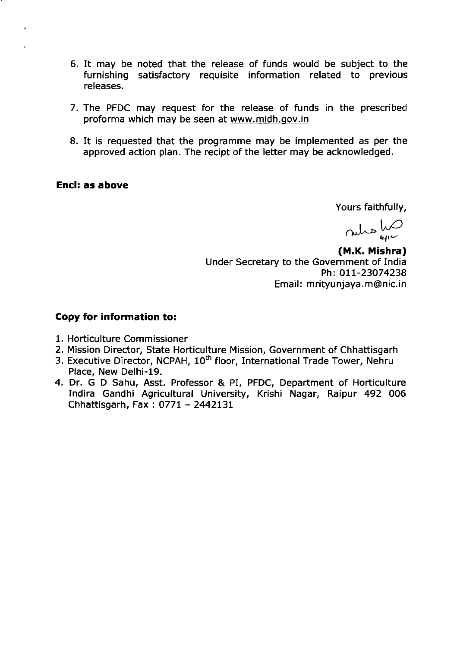- 6. It may be noted that the release of funds would be subject to the furnishing satisfactory requisite information related to previous releases.
- 7. The PFDC may request for the release of funds in the prescribed proforma which may be seen at www.midh.gov.in
- 8. It is requested that the programme may be implemented as per the approved action plan. The recipt of the letter may be acknowledged.

Yours faithfully,

 $\omega$ lwC

(M.K. Mishra) Under Secretary to the Government of India Ph: OIL-23O74238 Email: mrityunjaya.m@nic.in

- 1. Horticulture Commissioner
- 2. Mission Director, State Horticulture Mission, Government of Chhattisgarh
- 3. Executive Director, NCPAH, 10<sup>th</sup> floor, International Trade Tower, Nehru Place, New Delhi-19.
- 4. Dr. G D Sahu, Asst. Professor & PI, PFDC, Department of Horticulture Indira Gandhi Agricultural University, Krishi Nagar, Raipur 492 006 Chhattisgarh, Fax: O77l - 2442L31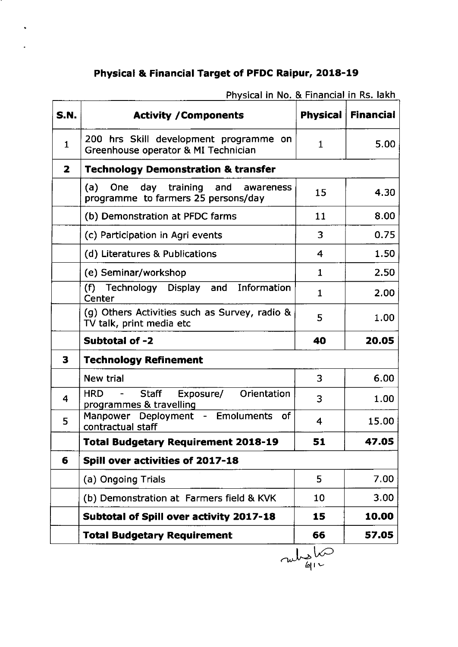# Physical & Financial Target of PFDC Raipur, 2018-19

 $\ddot{\phantom{0}}$ 

| <b>S.N.</b>             | <b>Activity / Components</b>                                                  |                | <b>Physical   Financial</b> |
|-------------------------|-------------------------------------------------------------------------------|----------------|-----------------------------|
| $\mathbf{1}$            | 200 hrs Skill development programme on<br>Greenhouse operator & MI Technician | $\mathbf{1}$   | 5.00                        |
| $\overline{\mathbf{z}}$ | <b>Technology Demonstration &amp; transfer</b>                                |                |                             |
|                         | (a) One day training and awareness<br>programme to farmers 25 persons/day     | 15             | 4.30                        |
|                         | (b) Demonstration at PFDC farms                                               | 11             | 8.00                        |
|                         | (c) Participation in Agri events                                              | 3              | 0.75                        |
|                         | (d) Literatures & Publications                                                | $\overline{4}$ | 1.50                        |
|                         | (e) Seminar/workshop                                                          | $\mathbf{1}$   | 2.50                        |
|                         | Information<br>(f) Technology Display and<br>Center                           | $\mathbf{1}$   | 2.00                        |
|                         | (g) Others Activities such as Survey, radio &<br>TV talk, print media etc     | 5              | 1.00                        |
|                         | Subtotal of -2                                                                | 40             | 20.05                       |
| 3                       | <b>Technology Refinement</b>                                                  |                |                             |
|                         | <b>New trial</b>                                                              | 3              | 6.00                        |
| $\overline{\mathbf{4}}$ | Staff<br>Exposure/ Orientation<br><b>HRD</b><br>programmes & travelling       | 3              | 1.00                        |
| 5                       | Manpower Deployment - Emoluments of<br>contractual staff                      | 4              | 15.00                       |
|                         | <b>Total Budgetary Requirement 2018-19</b>                                    | 51             | 47.05                       |
| 6                       | Spill over activities of 2017-18                                              |                |                             |
|                         | (a) Ongoing Trials                                                            | 5              | 7.00                        |
|                         | (b) Demonstration at Farmers field & KVK                                      | 10             | 3.00                        |
|                         | Subtotal of Spill over activity 2017-18                                       | 15             | 10.00                       |
|                         | <b>Total Budgetary Requirement</b>                                            | 66             | 57.05                       |
|                         |                                                                               | 61 I L         |                             |

Physical in No. & Financial in Rs. lakh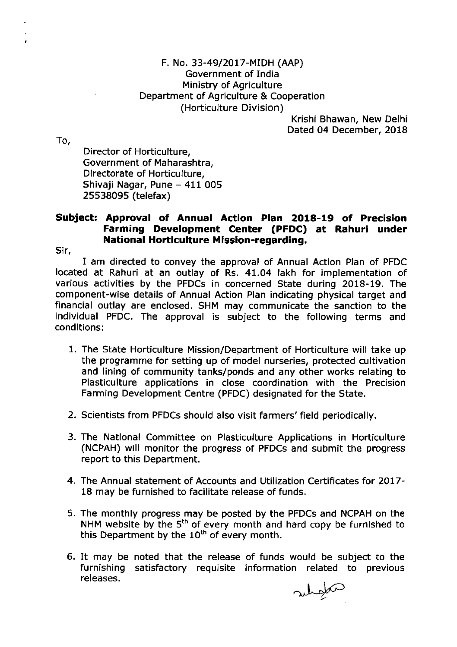Krishi Bhawan, New Delhi Dated 04 December, 2018

To,

Director of Horticulture. Government of Maharashtra, Directorate of Horticulture, Shivaji Nagar, Pune - 411 005 25538095 (telefax)

# Subject: Approval of Annua! Action Plan 2018-19 of Precision Farming Development Center (PFDC) at Rahuri under National Horticulture Mission-regarding.

Sir,

I am directed to convey the approval of Annual Action Plan of PFDC located at Rahuri at an outlay of Rs. 41.04 lakh for implementation of various activities by the PFDCs in concerned State during 2018-19. The component-wise details of Annual Action Plan indicating physical target and financial outlay are enclosed. SHM may communicate the sanction to the individual PFDC. The approval is subject to the following terms and conditions:

- 1. The State Horticulture Mission/Department of Horticulture will take up the programme for setting up of model nurseries, protected cultivation and lining of community tanks/ponds and any other works relating to Plasticulture applications in close coordination with the Precision Farming Development Centre (PFDC) designated for the State,
- 2. Scientists from PFDCs should also visit farmers'field periodically.
- 3. The National Committee on Plasticulture Applications in Horticulture (NCPAH) will monitor the progress of PFDCs and submit the progress report to this Department.
- 4. The Annual statement of Accounts and Utilization Certificates for 2Ol7- 18 may be furnished to facilitate release of funds.
- 5. The monthly progress may be posted by the PFDCs and NCPAH on the NHM website by the  $5^{\text{th}}$  of every month and hard copy be furnished to this Department by the 10<sup>th</sup> of every month.
- 6. It may be noted that the release of funds would be subject to the furnishing satisfactory requisite information related to previous releases.

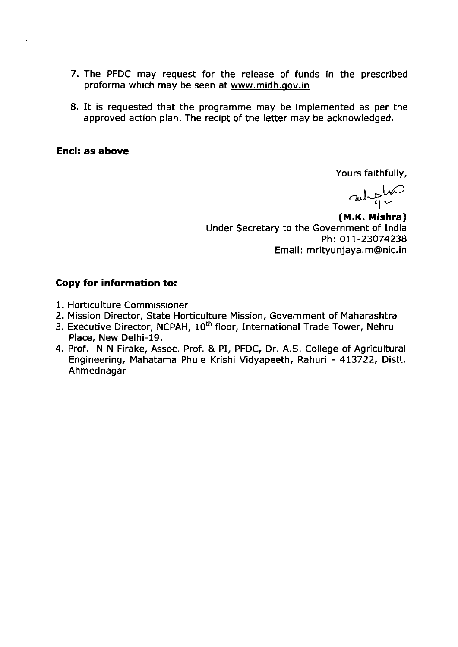- 7. The PFDC may request for the release of funds in the prescribed proforma which may be seen at www.midh.gov.in
- 8. It is requested that the programme may be implemented as per the approved action plan. The recipt of the letter may be acknowledged.

Yours faithfully,

 $\omega$ ,  $\omega$ 

**(M.K. Mishra)**<br>Under Secretary to the Government of India<br>Ph: 011-23074238 Email: mrityunjaya.m@nic.in

- 1. Horticulture Commissioner
- 2. Mission Director, State Horticulture Mission, Government of Maharashtra
- 3. Executive Director, NCPAH, 10<sup>th</sup> floor, International Trade Tower, Nehru Place, New Delhi-19.
- 4. Prof. N N Firake, Assoc. Prof. & PI, PFDC, Dr. A.S. College of Agricultural Engineering, Mahatama Phule Krishi Vidyapeeth, Rahuri - 413722, Distt. Ahmednagar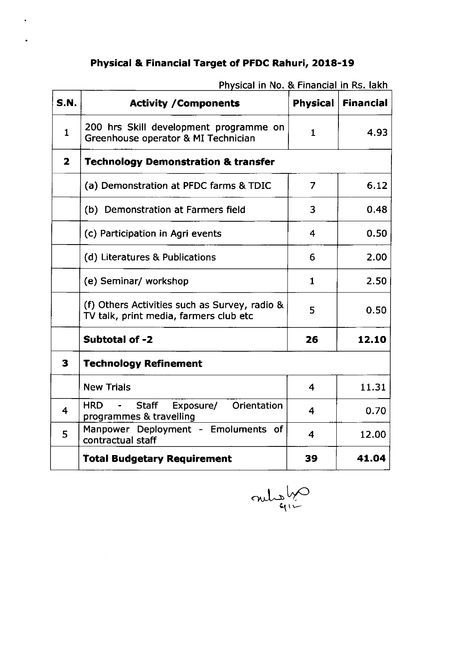# Physical & Financial Target of PFDC Rahuri, 2018-19

 $\ddot{\phantom{0}}$ 

| <b>S.N.</b>             | <b>Activity / Components</b>                                                            | <b>Physical</b>         | <b>Financial</b> |
|-------------------------|-----------------------------------------------------------------------------------------|-------------------------|------------------|
| $\mathbf{1}$            | 200 hrs Skill development programme on<br>Greenhouse operator & MI Technician           | $\mathbf{1}$            | 4.93             |
| $\overline{\mathbf{2}}$ | <b>Technology Demonstration &amp; transfer</b>                                          |                         |                  |
|                         | (a) Demonstration at PFDC farms & TDIC                                                  | $\overline{7}$          | 6.12             |
|                         | (b) Demonstration at Farmers field                                                      | 3                       | 0.48             |
|                         | (c) Participation in Agri events                                                        | $\overline{\mathbf{4}}$ | 0.50             |
|                         | (d) Literatures & Publications                                                          | 6                       | 2.00             |
|                         | (e) Seminar/ workshop                                                                   | $\mathbf{1}$            | 2.50             |
|                         | (f) Others Activities such as Survey, radio &<br>TV talk, print media, farmers club etc | 5                       | 0.50             |
|                         | Subtotal of -2                                                                          | 26                      | 12.10            |
| 3                       | <b>Technology Refinement</b>                                                            |                         |                  |
|                         | <b>New Trials</b>                                                                       | $\overline{\mathbf{4}}$ | 11.31            |
| $\overline{\mathbf{4}}$ | <b>HRD</b><br>Staff Exposure/<br>Orientation<br>programmes & travelling                 | 4                       | 0.70             |
| 5                       | Manpower Deployment - Emoluments of<br>contractual staff                                | 4                       | 12.00            |
|                         | <b>Total Budgetary Requirement</b>                                                      | 39                      | 41.04            |

Physical in No. & Financial in Rs. lakh

mulation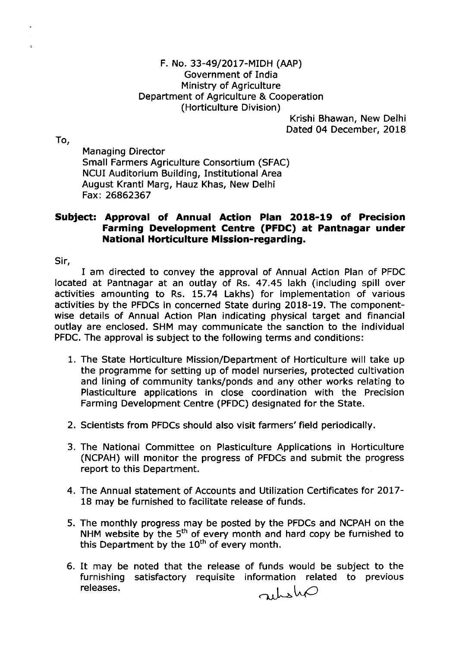Krishi Bhawan, New Delhi Dated 04 December, 2018

To,

Managing Director Small Farmers Agriculture Consortium (SFAC) NCUI Auditorium Building, Institutional Area August Kranti Marg, Hauz Khas, New Delhi Fax:26862367

## Subject: Approval of Annual Action Plan 2Ol8-19 of Precision Farming Development Centre (PFDC) at Pantnagar under National Horticulture Mission-regarding.

Sir,

I am directed to convey the approval of Annual Action Plan of PFDC located at Pantnagar at an outlay of Rs. 47.45 lakh (including spill over activities amounting to Rs, 15.74 Lakhs) for implementation of various activities by the PFDCs in concerned State during 2018-19. The componentwise details of Annual Action Plan indicating physical target and financial outlay are enclosed. SHM may communicate the sanction to the individual PFDC. The approval is subject to the following terms and conditions:

- 1. The State Horticulture Mission/Department of Horticulture will take up the programme for setting up of model nurseries, protected cultivation and lining of community tanks/ponds and any other works relating to Plasticulture applications in close coordination with the Precision Farming Development Centre (PFDC) designated for the State.
- 2. Scientists from PFDCs should also visit farmers'field periodically.
- 3. The National Committee on Plasticulture Applications in Horticulture (NCPAH) will monitor the progress of PFDCs and submit the progress report to this Department.
- 4. The Annual statement of Accounts and Utilization Certificates for 2OL7- 18 may be furnished to facilitate release of funds.
- 5. The monthly progress may be posted by the PFDCs and NCPAH on the NHM website by the  $5^{\text{th}}$  of every month and hard copy be furnished to this Department by the  $10^{th}$  of every month.
- 6. It may be noted that the release of funds would be subject to the furnishing satisfactory requisite information related to previous releases. riha $\varphi$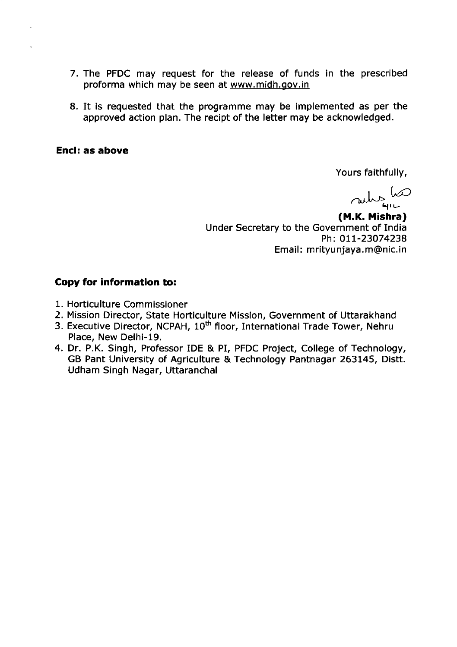- 7. The PFDC may request for the release of funds in the prescribed proforma which may be seen at www.midh.gov.in
- 8. It is requested that the programme may be implemented as per the approved action plan. The recipt of the letter may be acknowledged.

Yours faithfully,

ruhs ho

(M.K. Mishra) Under Secretary to the Government of India Ph: 011-23074238 Email: mrityunjaya. m@nic.in

- 1. Horticulture Commissioner
- 2. Mission Director, State Horticulture Mission, Government of Uttarakhand
- 3. Executive Director, NCPAH, 10<sup>th</sup> floor, International Trade Tower, Nehru Place, New Delhi-19,
- 4. Dr. P.K. Singh, Professor IDE & PI, PFDC Project, College of Technology, GB Pant University of Agriculture & Technology Pantnagar 263145, Distt. Udham Singh Nagar, Uttaranchal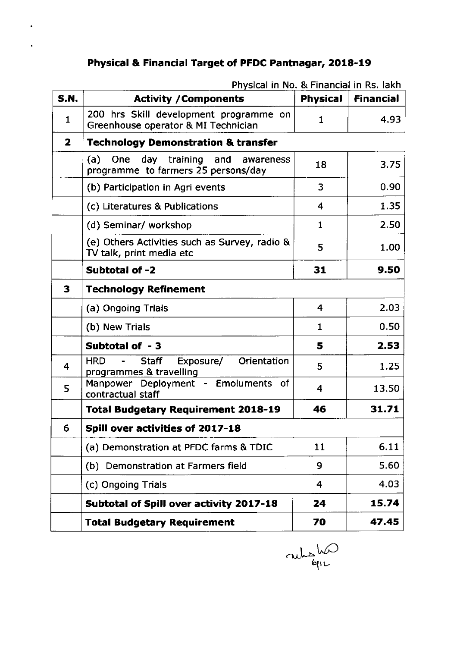# Physical & Financial Target of PFDC Pantnagar, 2018-19

| <b>S.N.</b>             | <b>Activity / Components</b>                                                                        | <b>Physical</b>         | <b>Financial</b> |
|-------------------------|-----------------------------------------------------------------------------------------------------|-------------------------|------------------|
| $\mathbf{1}$            | 200 hrs Skill development programme on<br>Greenhouse operator & MI Technician                       | $\mathbf{1}$            | 4.93             |
| $\overline{\mathbf{z}}$ | <b>Technology Demonstration &amp; transfer</b>                                                      |                         |                  |
|                         | (a)<br>day training and awareness<br><b>One</b><br>programme to farmers 25 persons/day              | 18                      | 3.75             |
|                         | (b) Participation in Agri events                                                                    | 3                       | 0.90             |
|                         | (c) Literatures & Publications                                                                      | $\overline{\mathbf{4}}$ | 1.35             |
|                         | (d) Seminar/ workshop                                                                               | $\mathbf{1}$            | 2.50             |
|                         | (e) Others Activities such as Survey, radio &<br>TV talk, print media etc                           | 5                       | 1.00             |
|                         | Subtotal of -2                                                                                      | 31                      | 9.50             |
| 3                       | <b>Technology Refinement</b>                                                                        |                         |                  |
|                         | (a) Ongoing Trials                                                                                  | 4                       | 2.03             |
|                         | (b) New Trials                                                                                      | $\mathbf{1}$            | 0.50             |
|                         | Subtotal of -3                                                                                      | 5                       | 2.53             |
| 4                       | <b>HRD</b><br>Orientation<br><b>Staff</b><br>Exposure/<br>$\blacksquare$<br>programmes & travelling | 5                       | 1.25             |
| 5                       | Manpower Deployment - Emoluments of<br>contractual staff                                            | 4                       | 13.50            |
|                         | <b>Total Budgetary Requirement 2018-19</b>                                                          | 46                      | 31.71            |
| 6                       | Spill over activities of 2017-18                                                                    |                         |                  |
|                         | (a) Demonstration at PFDC farms & TDIC                                                              | 11                      | 6.11             |
|                         | (b) Demonstration at Farmers field                                                                  | 9                       | 5.60             |
|                         | (c) Ongoing Trials                                                                                  | $\overline{4}$          | 4.03             |
|                         | Subtotal of Spill over activity 2017-18                                                             | 24                      | 15.74            |
|                         | <b>Total Budgetary Requirement</b>                                                                  | 70                      | 47.45            |

Physical in No. & Financial in Rs. lakh

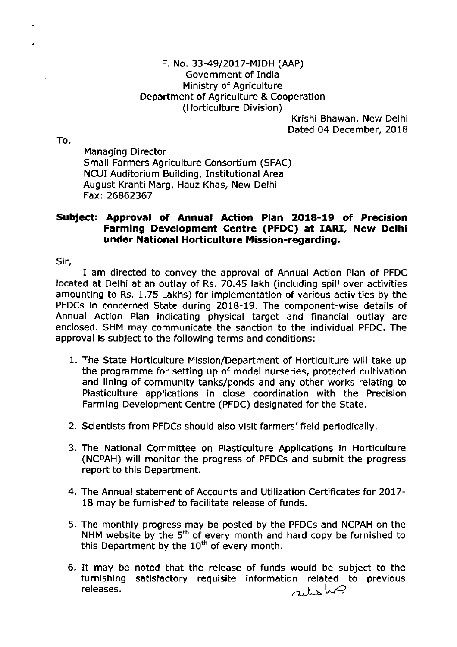Krishi Bhawan, New Delhi Dated 04 December, 2018

To,

Managing Director Small Farmers Agriculture Consortium (SFAC) NCUI Auditorium Building, Institutional Area August Kranti Marg, Hauz Khas, New Delhi Fax:26862367

## Subiect: Approval of Annual Action Plan 2018-19 of Precision Farming Development Centre (PFDC) at IARf, New Delhi under National Horticulture Mission-regarding.

Sir,

I am directed to convey the approval of Annual Action Plan of PFDC located at Delhi at an outlay of Rs. 70.45 lakh (including spill over activities amounting to Rs. 1,75 Lakhs) for implementation of various activities by the PFDCs in concerned State during 2018-19. The component-wise details of Annual Action Plan indicating physical target and financial outlay are enclosed. SHM may communicate the sanction to the individual PFDC. The approval is subject to the following terms and conditions:

- 1. The State Horticulture Mission/Department of Horticulture will take up the programme for setting up of model nurseries, protected cultivation and lining of community tanks/ponds and any other works relating to Plasticulture applications in close coordination with the Precision Farming Development Centre (PFDC) designated for the State,
- 2. Scientists from PFDCs should also visit farmers'field periodically.
- 3. The National Committee on Plasticulture Applications in Horticulture (NCPAH) will monitor the progress of PFDCs and submit the progress report to this Department.
- 4. The Annual statement of Accounts and Utilization Certificates for 2017-18 may be furnished to facilitate release of funds.
- 5, The monthly progress may be posted by the PFDCs and NCPAH on the NHM website by the  $5<sup>th</sup>$  of every month and hard copy be furnished to this Department by the  $10^{th}$  of every month.
- 6. It may be noted that the release of funds would be subject to the furnishing satisfactory requisite information related to previous releases.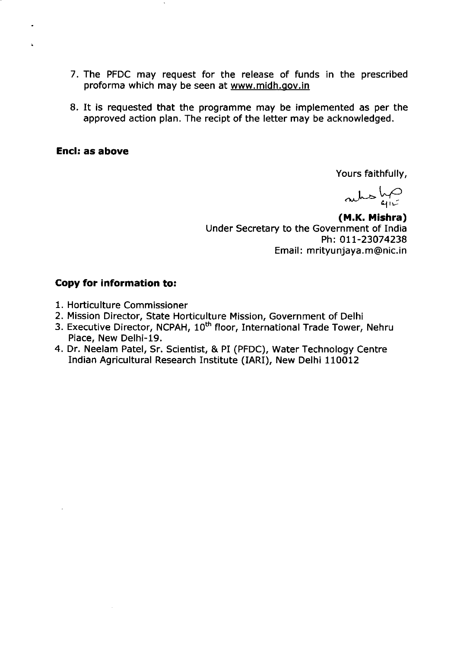- 7. The PFDC may request for the release of funds in the prescribed proforma which may be seen at www.midh,gov,in
- 8. It is requested that the programme may be implemented as per the approved action plan. The recipt of the letter may be acknowledged.

Yours faithfully,

 $aks$   $\frac{k}{4!}$ 

(M.K. Mishra) Under Secretary to the Government of India Ph: 011-23074238 Email: mrityunjaya.m@nic.in

- 1. Horticulture Commissioner
- 2. Mission Director, State Horticulture Mission, Government of Delhi
- 3. Executive Director, NCPAH, 10<sup>th</sup> floor, International Trade Tower, Nehru Place, New Delhi-19.
- 4. Dr. Neelam Patel, Sr. Scientist, & PI (PFDC), Water Technology Centre Indian Agricultural Research Institute (IARI), New Delhi 110012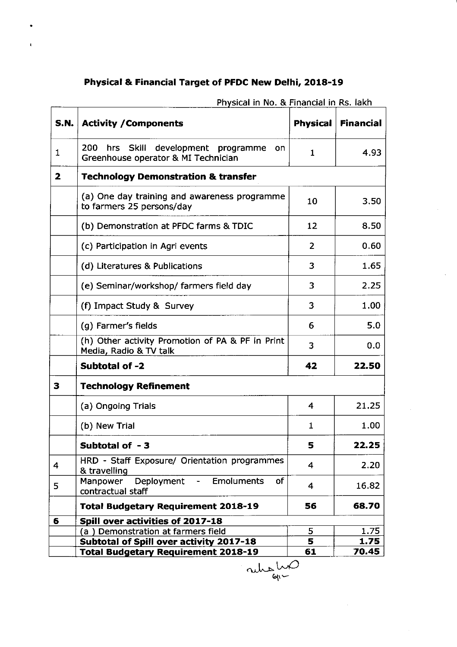# Physical & Financial Target of PFDC New Delhi, 2018-19

ŧ.

| <b>S.N.</b>             | <b>Activity / Components</b>                                                         | <b>Physical</b>         | <b>Financial</b> |  |
|-------------------------|--------------------------------------------------------------------------------------|-------------------------|------------------|--|
| 1                       | 200<br>hrs Skill development programme<br>on.<br>Greenhouse operator & MI Technician | 1                       | 4.93             |  |
| $\overline{\mathbf{z}}$ | <b>Technology Demonstration &amp; transfer</b>                                       |                         |                  |  |
|                         | (a) One day training and awareness programme<br>to farmers 25 persons/day            | 10                      | 3.50             |  |
|                         | (b) Demonstration at PFDC farms & TDIC                                               | 12                      | 8.50             |  |
|                         | (c) Participation in Agri events                                                     | 2                       | 0.60             |  |
|                         | (d) Literatures & Publications                                                       | 3                       | 1.65             |  |
|                         | (e) Seminar/workshop/ farmers field day                                              | 3                       | 2.25             |  |
|                         | (f) Impact Study & Survey                                                            | 3                       | 1.00             |  |
|                         | (g) Farmer's fields                                                                  | 6                       | 5.0              |  |
|                         | (h) Other activity Promotion of PA & PF in Print<br>Media, Radio & TV talk           | 3                       | 0.0              |  |
|                         | Subtotal of -2                                                                       | 42                      | 22.50            |  |
| 3                       | <b>Technology Refinement</b>                                                         |                         |                  |  |
|                         | (a) Ongoing Trials                                                                   | 4                       | 21.25            |  |
|                         | (b) New Trial                                                                        | $\mathbf{1}$            | 1.00             |  |
|                         | Subtotal of -3                                                                       | 5                       | 22.25            |  |
| $\overline{4}$          | HRD - Staff Exposure/ Orientation programmes<br>& travelling                         | $\overline{4}$          | 2.20             |  |
| 5                       | Deployment<br>Manpower<br>- Emoluments<br><b>of</b><br>contractual staff             | $\overline{\mathbf{4}}$ | 16.82            |  |
|                         | <b>Total Budgetary Requirement 2018-19</b>                                           | 56                      | 68.70            |  |
| 6                       | Spill over activities of 2017-18                                                     |                         |                  |  |
|                         | (a) Demonstration at farmers field                                                   | 5                       | 1.75             |  |
|                         | Subtotal of Spill over activity 2017-18                                              | 5                       | 1.75             |  |
|                         | <b>Total Budgetary Requirement 2018-19</b>                                           | 61                      | 70.45            |  |

Phycical in No. & Financial in Rs. lakh

ruhs Lui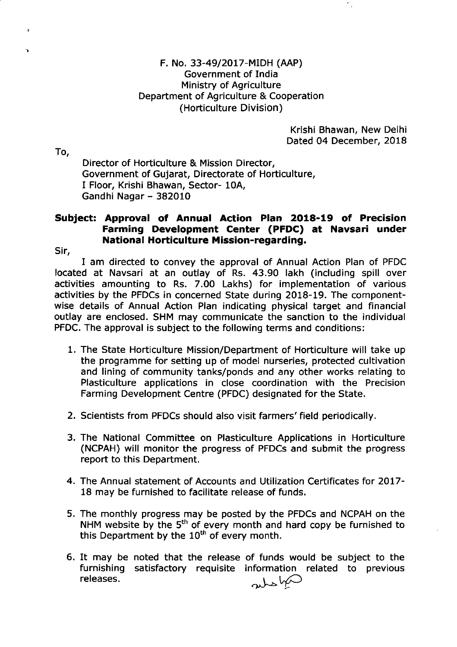Krishi Bhawan, New Delhi Dated 04 December, 2018

To,

 $\ddot{ }$ 

Ÿ.

Director of Horticulture & Mission Director, Government of Gujarat, Directorate of Horticulture, I Floor, Krishi Bhawan, Sector- 10A, Gandhi Nagar - 382010

# Subject: Approval of Annua! Action PIan 2O18-19 of Precision Farming Development Center (PFDC) at Navsari under National Horticulture Mission-regarding.

Sir,

I am directed to convey the approval of Annual Action Plan of PFDC located at Navsari at an outlay of Rs. 43.90 lakh (including spill over activities amounting to Rs. 7.00 Lakhs) for implementation of various activities by the PFDCs in concerned State during 2018-19. The componentwise details of Annual Action Plan indicating physical target and financial outlay are enclosed. SHM may communicate the sanction to the individual PFDC. The approval is subject to the following terms and conditions:

- 1, The State Horticulture Mission/Department of Horticulture will take up the programme for setting up of model nurseries, protected cultivation and lining of community tanks/ponds and any other works relating to Plasticulture applications in close coordination with the Precision Farming Development Centre (PFDC) designated for the State.
- 2. Scientists from PFDCs should also visit farmers' field periodically.
- 3. The National Committee on Plasticulture Applications in Horticulture (NCPAH) will monitor the progress of PFDCs and submit the progress report to this Department,
- 4. The Annual statement of Accounts and Utilization Certificates for 2Ol7- 18 may be furnished to facilitate release of funds.
- 5. The monthly progress may be posted by the PFDCs and NCPAH on the NHM website by the 5<sup>th</sup> of every month and hard copy be furnished to this Department by the  $10<sup>th</sup>$  of every month.
- 6. It may be noted that the release of funds would be subject to the furnishing satisfactory requisite information related to previous releases. absha